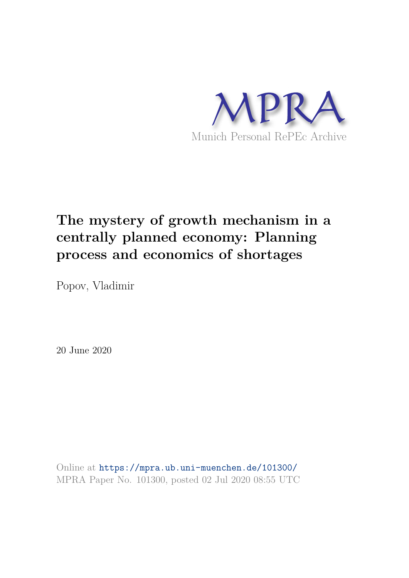

# **The mystery of growth mechanism in a centrally planned economy: Planning process and economics of shortages**

Popov, Vladimir

20 June 2020

Online at https://mpra.ub.uni-muenchen.de/101300/ MPRA Paper No. 101300, posted 02 Jul 2020 08:55 UTC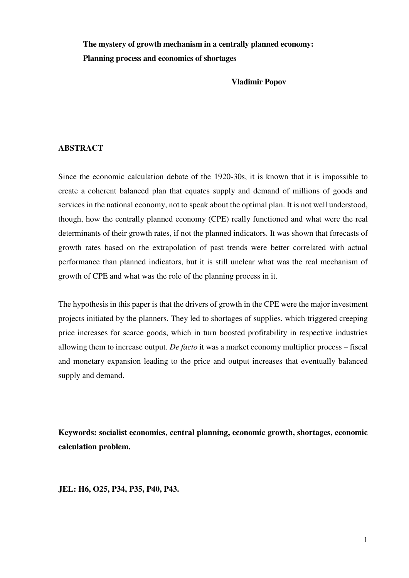**The mystery of growth mechanism in a centrally planned economy: Planning process and economics of shortages** 

**Vladimir Popov** 

### **ABSTRACT**

Since the economic calculation debate of the 1920-30s, it is known that it is impossible to create a coherent balanced plan that equates supply and demand of millions of goods and services in the national economy, not to speak about the optimal plan. It is not well understood, though, how the centrally planned economy (CPE) really functioned and what were the real determinants of their growth rates, if not the planned indicators. It was shown that forecasts of growth rates based on the extrapolation of past trends were better correlated with actual performance than planned indicators, but it is still unclear what was the real mechanism of growth of CPE and what was the role of the planning process in it.

The hypothesis in this paper is that the drivers of growth in the CPE were the major investment projects initiated by the planners. They led to shortages of supplies, which triggered creeping price increases for scarce goods, which in turn boosted profitability in respective industries allowing them to increase output. *De facto* it was a market economy multiplier process – fiscal and monetary expansion leading to the price and output increases that eventually balanced supply and demand.

**Keywords: socialist economies, central planning, economic growth, shortages, economic calculation problem.** 

**JEL: H6, O25, P34, P35, P40, P43.**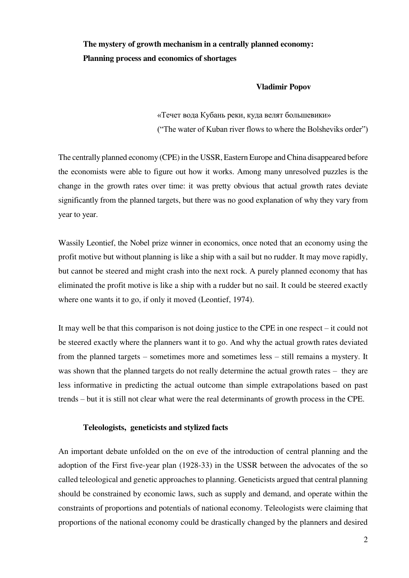### **The mystery of growth mechanism in a centrally planned economy: Planning process and economics of shortages**

#### **Vladimir Popov**

«Течет вода Кубань реки, куда велят большевики» ("The water of Kuban river flows to where the Bolsheviks order")

The centrally planned economy (CPE) in the USSR, Eastern Europe and China disappeared before the economists were able to figure out how it works. Among many unresolved puzzles is the change in the growth rates over time: it was pretty obvious that actual growth rates deviate significantly from the planned targets, but there was no good explanation of why they vary from year to year.

Wassily Leontief, the Nobel prize winner in economics, once noted that an economy using the profit motive but without planning is like a ship with a sail but no rudder. It may move rapidly, but cannot be steered and might crash into the next rock. A purely planned economy that has eliminated the profit motive is like a ship with a rudder but no sail. It could be steered exactly where one wants it to go, if only it moved (Leontief, 1974).

It may well be that this comparison is not doing justice to the CPE in one respect – it could not be steered exactly where the planners want it to go. And why the actual growth rates deviated from the planned targets – sometimes more and sometimes less – still remains a mystery. It was shown that the planned targets do not really determine the actual growth rates – they are less informative in predicting the actual outcome than simple extrapolations based on past trends – but it is still not clear what were the real determinants of growth process in the CPE.

### **Teleologists, geneticists and stylized facts**

An important debate unfolded on the on eve of the introduction of central planning and the adoption of the First five-year plan (1928-33) in the USSR between the advocates of the so called teleological and genetic approaches to planning. Geneticists argued that central planning should be constrained by economic laws, such as supply and demand, and operate within the constraints of proportions and potentials of national economy. Teleologists were claiming that proportions of the national economy could be drastically changed by the planners and desired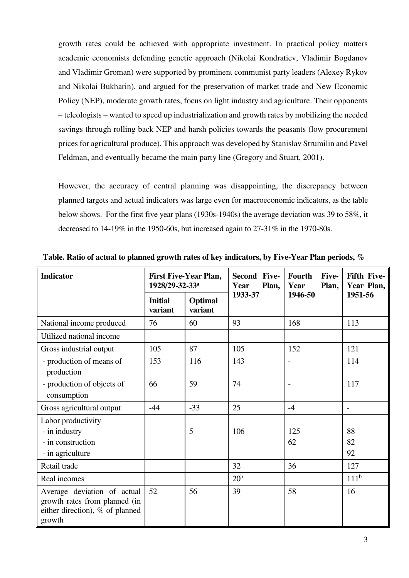growth rates could be achieved with appropriate investment. In practical policy matters academic economists defending genetic approach (Nikolai Kondratiev, Vladimir Bogdanov and Vladimir Groman) were supported by prominent communist party leaders (Alexey Rykov and Nikolai Bukharin), and argued for the preservation of market trade and New Economic Policy (NEP), moderate growth rates, focus on light industry and agriculture. Their opponents – teleologists – wanted to speed up industrialization and growth rates by mobilizing the needed savings through rolling back NEP and harsh policies towards the peasants (low procurement prices for agricultural produce). This approach was developed by Stanislav Strumilin and Pavel Feldman, and eventually became the main party line (Gregory and Stuart, 2001).

However, the accuracy of central planning was disappointing, the discrepancy between planned targets and actual indicators was large even for macroeconomic indicators, as the table below shows. For the first five year plans (1930s-1940s) the average deviation was 39 to 58%, it decreased to 14-19% in the 1950-60s, but increased again to 27-31% in the 1970-80s.

| <b>Indicator</b>                                                                                          | <b>First Five-Year Plan,</b><br>1928/29-32-33 <sup>a</sup> |                    | Second Five-<br>Plan,<br>Year | Fourth<br>Five-<br>Year<br>Plan, | <b>Fifth Five-</b><br>Year Plan, |
|-----------------------------------------------------------------------------------------------------------|------------------------------------------------------------|--------------------|-------------------------------|----------------------------------|----------------------------------|
|                                                                                                           | <b>Initial</b><br>variant                                  | Optimal<br>variant | 1933-37                       | 1946-50                          | 1951-56                          |
| National income produced                                                                                  | 76                                                         | 60                 | 93                            | 168                              | 113                              |
| Utilized national income                                                                                  |                                                            |                    |                               |                                  |                                  |
| Gross industrial output                                                                                   | 105                                                        | 87                 | 105                           | 152                              | 121                              |
| - production of means of<br>production                                                                    | 153                                                        | 116                | 143                           | $\overline{a}$                   | 114                              |
| - production of objects of<br>consumption                                                                 | 66                                                         | 59                 | 74                            |                                  | 117                              |
| Gross agricultural output                                                                                 | $-44$                                                      | $-33$              | 25                            | $-4$                             | $\overline{\phantom{a}}$         |
| Labor productivity<br>- in industry<br>- in construction<br>- in agriculture                              |                                                            | 5                  | 106                           | 125<br>62                        | 88<br>82<br>92                   |
| Retail trade                                                                                              |                                                            |                    | 32                            | 36                               | 127                              |
| Real incomes                                                                                              |                                                            |                    | 20 <sup>b</sup>               |                                  | 111 <sup>b</sup>                 |
| Average deviation of actual<br>growth rates from planned (in<br>either direction), % of planned<br>growth | 52                                                         | 56                 | 39                            | 58                               | 16                               |

**Table. Ratio of actual to planned growth rates of key indicators, by Five-Year Plan periods, %**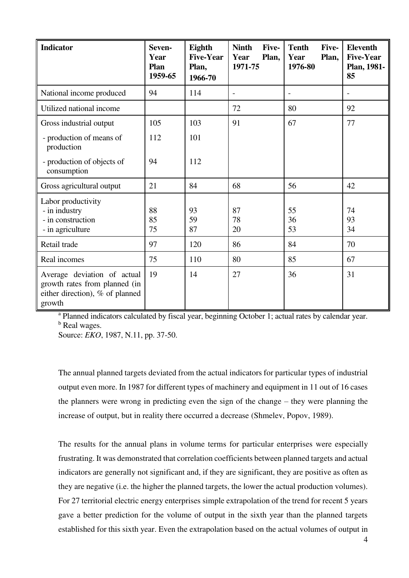| <b>Indicator</b>                                                                                          | Seven-<br>Year<br>Plan<br>1959-65 | Eighth<br><b>Five-Year</b><br>Plan,<br>1966-70 | <b>Ninth</b><br>Five-<br>Year<br>Plan,<br>1971-75 | <b>Tenth</b><br>Five-<br>Year<br>Plan,<br>1976-80 | <b>Eleventh</b><br><b>Five-Year</b><br>Plan, 1981-<br>85 |
|-----------------------------------------------------------------------------------------------------------|-----------------------------------|------------------------------------------------|---------------------------------------------------|---------------------------------------------------|----------------------------------------------------------|
| National income produced                                                                                  | 94                                | 114                                            | $\overline{a}$                                    |                                                   |                                                          |
| Utilized national income                                                                                  |                                   |                                                | 72                                                | 80                                                | 92                                                       |
| Gross industrial output                                                                                   | 105                               | 103                                            | 91                                                | 67                                                | 77                                                       |
| - production of means of<br>production                                                                    | 112                               | 101                                            |                                                   |                                                   |                                                          |
| - production of objects of<br>consumption                                                                 | 94                                | 112                                            |                                                   |                                                   |                                                          |
| Gross agricultural output                                                                                 | 21                                | 84                                             | 68                                                | 56                                                | 42                                                       |
| Labor productivity<br>- in industry<br>- in construction<br>- in agriculture                              | 88<br>85<br>75                    | 93<br>59<br>87                                 | 87<br>78<br>20                                    | 55<br>36<br>53                                    | 74<br>93<br>34                                           |
| Retail trade                                                                                              | 97                                | 120                                            | 86                                                | 84                                                | 70                                                       |
| Real incomes                                                                                              | 75                                | 110                                            | 80                                                | 85                                                | 67                                                       |
| Average deviation of actual<br>growth rates from planned (in<br>either direction), % of planned<br>growth | 19                                | 14                                             | 27                                                | 36                                                | 31                                                       |

<sup>a</sup> Planned indicators calculated by fiscal year, beginning October 1; actual rates by calendar year. <sup>b</sup> Real wages.

Source: *EKO*, 1987, N.11, pp. 37-50.

The annual planned targets deviated from the actual indicators for particular types of industrial output even more. In 1987 for different types of machinery and equipment in 11 out of 16 cases the planners were wrong in predicting even the sign of the change – they were planning the increase of output, but in reality there occurred a decrease (Shmelev, Popov, 1989).

The results for the annual plans in volume terms for particular enterprises were especially frustrating. It was demonstrated that correlation coefficients between planned targets and actual indicators are generally not significant and, if they are significant, they are positive as often as they are negative (i.e. the higher the planned targets, the lower the actual production volumes). For 27 territorial electric energy enterprises simple extrapolation of the trend for recent 5 years gave a better prediction for the volume of output in the sixth year than the planned targets established for this sixth year. Even the extrapolation based on the actual volumes of output in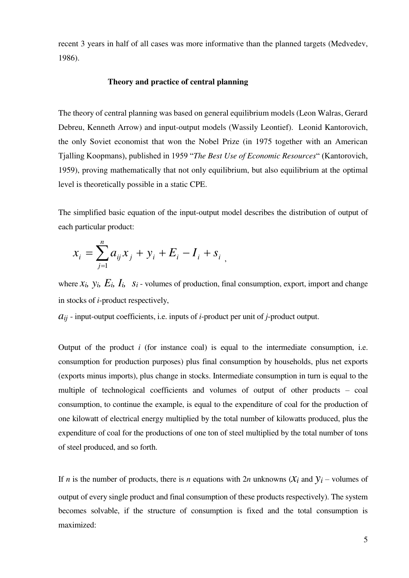recent 3 years in half of all cases was more informative than the planned targets (Medvedev, 1986).

### **Theory and practice of central planning**

The theory of central planning was based on general equilibrium models (Leon Walras, Gerard Debreu, Kenneth Arrow) and input-output models (Wassily Leontief). Leonid Kantorovich, the only Soviet economist that won the Nobel Prize (in 1975 together with an American Tjalling Koopmans), published in 1959 "*The Best Use of Economic Resources*" (Kantorovich, 1959), proving mathematically that not only equilibrium, but also equilibrium at the optimal level is theoretically possible in a static CPE.

The simplified basic equation of the input-output model describes the distribution of output of each particular product:

$$
x_i = \sum_{j=1}^n a_{ij} x_j + y_i + E_i - I_i + s_i,
$$

where  $x_i$ ,  $y_i$ ,  $E_i$ ,  $I_i$ ,  $s_i$  - volumes of production, final consumption, export, import and change in stocks of *i*-product respectively,

*aij* - input-output coefficients, i.e. inputs of *i*-product per unit of *j*-product output.

Output of the product *i* (for instance coal) is equal to the intermediate consumption, i.e. consumption for production purposes) plus final consumption by households, plus net exports (exports minus imports), plus change in stocks. Intermediate consumption in turn is equal to the multiple of technological coefficients and volumes of output of other products – coal consumption, to continue the example, is equal to the expenditure of coal for the production of one kilowatt of electrical energy multiplied by the total number of kilowatts produced, plus the expenditure of coal for the productions of one ton of steel multiplied by the total number of tons of steel produced, and so forth.

If *n* is the number of products, there is *n* equations with  $2n$  unknowns  $(X_i \text{ and } Y_i)$  – volumes of output of every single product and final consumption of these products respectively). The system becomes solvable, if the structure of consumption is fixed and the total consumption is maximized: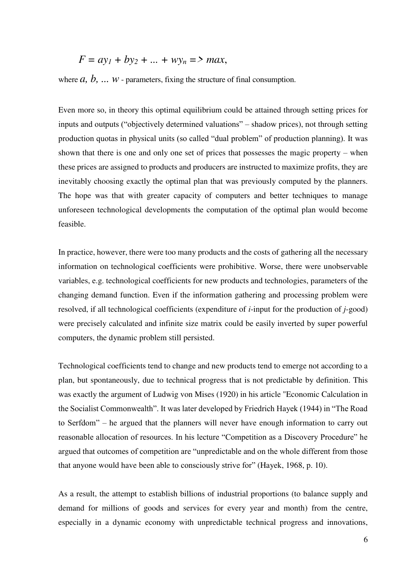$$
F = ay_1 + by_2 + \dots + wy_n = > max,
$$

where  $a, b, \ldots w$  - parameters, fixing the structure of final consumption.

Even more so, in theory this optimal equilibrium could be attained through setting prices for inputs and outputs ("objectively determined valuations" – shadow prices), not through setting production quotas in physical units (so called "dual problem" of production planning). It was shown that there is one and only one set of prices that possesses the magic property – when these prices are assigned to products and producers are instructed to maximize profits, they are inevitably choosing exactly the optimal plan that was previously computed by the planners. The hope was that with greater capacity of computers and better techniques to manage unforeseen technological developments the computation of the optimal plan would become feasible.

In practice, however, there were too many products and the costs of gathering all the necessary information on technological coefficients were prohibitive. Worse, there were unobservable variables, e.g. technological coefficients for new products and technologies, parameters of the changing demand function. Even if the information gathering and processing problem were resolved, if all technological coefficients (expenditure of *i*-input for the production of *j*-good) were precisely calculated and infinite size matrix could be easily inverted by super powerful computers, the dynamic problem still persisted.

Technological coefficients tend to change and new products tend to emerge not according to a plan, but spontaneously, due to technical progress that is not predictable by definition. This was exactly the argument of Ludwig von Mises (1920) in his article "Economic Calculation in the Socialist Commonwealth". It was later developed by Friedrich Hayek (1944) in "The Road to Serfdom" – he argued that the planners will never have enough information to carry out reasonable allocation of resources. In his lecture "Competition as a Discovery Procedure" he argued that outcomes of competition are "unpredictable and on the whole different from those that anyone would have been able to consciously strive for" (Hayek, 1968, p. 10).

As a result, the attempt to establish billions of industrial proportions (to balance supply and demand for millions of goods and services for every year and month) from the centre, especially in a dynamic economy with unpredictable technical progress and innovations,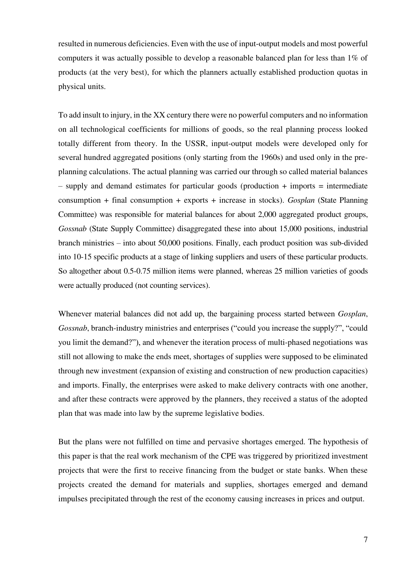resulted in numerous deficiencies. Even with the use of input-output models and most powerful computers it was actually possible to develop a reasonable balanced plan for less than 1% of products (at the very best), for which the planners actually established production quotas in physical units.

To add insult to injury, in the XX century there were no powerful computers and no information on all technological coefficients for millions of goods, so the real planning process looked totally different from theory. In the USSR, input-output models were developed only for several hundred aggregated positions (only starting from the 1960s) and used only in the preplanning calculations. The actual planning was carried our through so called material balances  $-$  supply and demand estimates for particular goods (production  $+$  imports  $=$  intermediate consumption + final consumption + exports + increase in stocks). *Gosplan* (State Planning Committee) was responsible for material balances for about 2,000 aggregated product groups, *Gossnab* (State Supply Committee) disaggregated these into about 15,000 positions, industrial branch ministries – into about 50,000 positions. Finally, each product position was sub-divided into 10-15 specific products at a stage of linking suppliers and users of these particular products. So altogether about 0.5-0.75 million items were planned, whereas 25 million varieties of goods were actually produced (not counting services).

Whenever material balances did not add up, the bargaining process started between *Gosplan*, *Gossnab*, branch-industry ministries and enterprises ("could you increase the supply?", "could you limit the demand?"), and whenever the iteration process of multi-phased negotiations was still not allowing to make the ends meet, shortages of supplies were supposed to be eliminated through new investment (expansion of existing and construction of new production capacities) and imports. Finally, the enterprises were asked to make delivery contracts with one another, and after these contracts were approved by the planners, they received a status of the adopted plan that was made into law by the supreme legislative bodies.

But the plans were not fulfilled on time and pervasive shortages emerged. The hypothesis of this paper is that the real work mechanism of the CPE was triggered by prioritized investment projects that were the first to receive financing from the budget or state banks. When these projects created the demand for materials and supplies, shortages emerged and demand impulses precipitated through the rest of the economy causing increases in prices and output.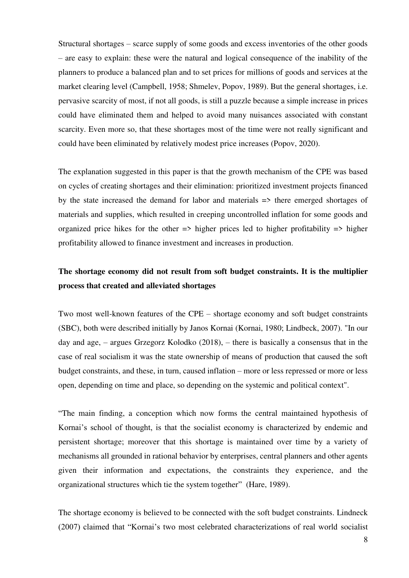Structural shortages – scarce supply of some goods and excess inventories of the other goods – are easy to explain: these were the natural and logical consequence of the inability of the planners to produce a balanced plan and to set prices for millions of goods and services at the market clearing level (Campbell, 1958; Shmelev, Popov, 1989). But the general shortages, i.e. pervasive scarcity of most, if not all goods, is still a puzzle because a simple increase in prices could have eliminated them and helped to avoid many nuisances associated with constant scarcity. Even more so, that these shortages most of the time were not really significant and could have been eliminated by relatively modest price increases (Popov, 2020).

The explanation suggested in this paper is that the growth mechanism of the CPE was based on cycles of creating shortages and their elimination: prioritized investment projects financed by the state increased the demand for labor and materials => there emerged shortages of materials and supplies, which resulted in creeping uncontrolled inflation for some goods and organized price hikes for the other  $\Rightarrow$  higher prices led to higher profitability  $\Rightarrow$  higher profitability allowed to finance investment and increases in production.

### **The shortage economy did not result from soft budget constraints. It is the multiplier process that created and alleviated shortages**

Two most well-known features of the CPE – shortage economy and soft budget constraints (SBC), both were described initially by Janos Kornai (Kornai, 1980; Lindbeck, 2007). "In our day and age, – argues Grzegorz Kolodko (2018), – there is basically a consensus that in the case of real socialism it was the state ownership of means of production that caused the soft budget constraints, and these, in turn, caused inflation – more or less repressed or more or less open, depending on time and place, so depending on the systemic and political context".

"The main finding, a conception which now forms the central maintained hypothesis of Kornai's school of thought, is that the socialist economy is characterized by endemic and persistent shortage; moreover that this shortage is maintained over time by a variety of mechanisms all grounded in rational behavior by enterprises, central planners and other agents given their information and expectations, the constraints they experience, and the organizational structures which tie the system together" (Hare, 1989).

The shortage economy is believed to be connected with the soft budget constraints. Lindneck (2007) claimed that "Kornai's two most celebrated characterizations of real world socialist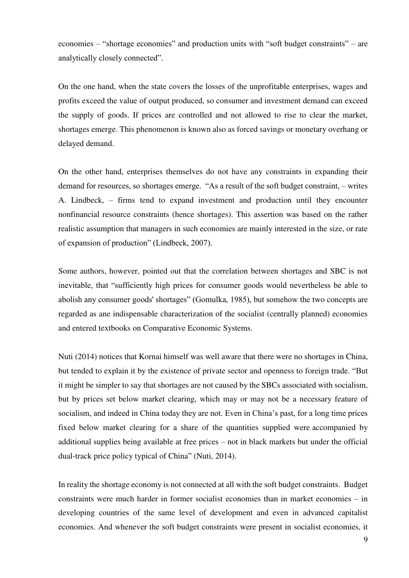economies – "shortage economies" and production units with "soft budget constraints" – are analytically closely connected".

On the one hand, when the state covers the losses of the unprofitable enterprises, wages and profits exceed the value of output produced, so consumer and investment demand can exceed the supply of goods. If prices are controlled and not allowed to rise to clear the market, shortages emerge. This phenomenon is known also as forced savings or monetary overhang or delayed demand.

On the other hand, enterprises themselves do not have any constraints in expanding their demand for resources, so shortages emerge. "As a result of the soft budget constraint, – writes A. Lindbeck, – firms tend to expand investment and production until they encounter nonfinancial resource constraints (hence shortages). This assertion was based on the rather realistic assumption that managers in such economies are mainly interested in the size, or rate of expansion of production" (Lindbeck, 2007).

Some authors, however, pointed out that the correlation between shortages and SBC is not inevitable, that "sufficiently high prices for consumer goods would nevertheless be able to abolish any consumer goods' shortages" (Gomulka, 1985), but somehow the two concepts are regarded as ane indispensable characterization of the socialist (centrally planned) economies and entered textbooks on Comparative Economic Systems.

Nuti (2014) notices that Kornai himself was well aware that there were no shortages in China, but tended to explain it by the existence of private sector and openness to foreign trade. "But it might be simpler to say that shortages are not caused by the SBCs associated with socialism, but by prices set below market clearing, which may or may not be a necessary feature of socialism, and indeed in China today they are not. Even in China's past, for a long time prices fixed below market clearing for a share of the quantities supplied were accompanied by additional supplies being available at free prices – not in black markets but under the official dual-track price policy typical of China" (Nuti, 2014).

In reality the shortage economy is not connected at all with the soft budget constraints. Budget constraints were much harder in former socialist economies than in market economies – in developing countries of the same level of development and even in advanced capitalist economies. And whenever the soft budget constraints were present in socialist economies, it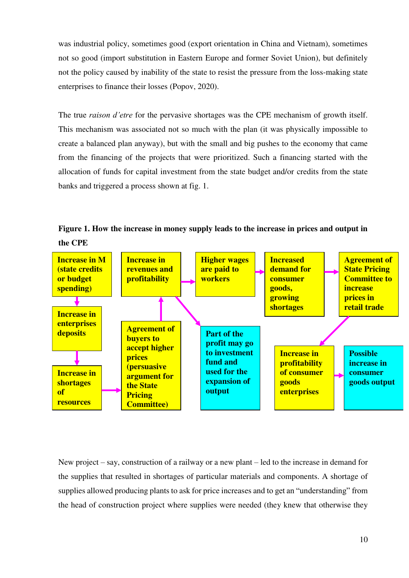was industrial policy, sometimes good (export orientation in China and Vietnam), sometimes not so good (import substitution in Eastern Europe and former Soviet Union), but definitely not the policy caused by inability of the state to resist the pressure from the loss-making state enterprises to finance their losses (Popov, 2020).

The true *raison d'etre* for the pervasive shortages was the CPE mechanism of growth itself. This mechanism was associated not so much with the plan (it was physically impossible to create a balanced plan anyway), but with the small and big pushes to the economy that came from the financing of the projects that were prioritized. Such a financing started with the allocation of funds for capital investment from the state budget and/or credits from the state banks and triggered a process shown at fig. 1.

**Figure 1. How the increase in money supply leads to the increase in prices and output in the CPE** 



New project – say, construction of a railway or a new plant – led to the increase in demand for the supplies that resulted in shortages of particular materials and components. A shortage of supplies allowed producing plants to ask for price increases and to get an "understanding" from the head of construction project where supplies were needed (they knew that otherwise they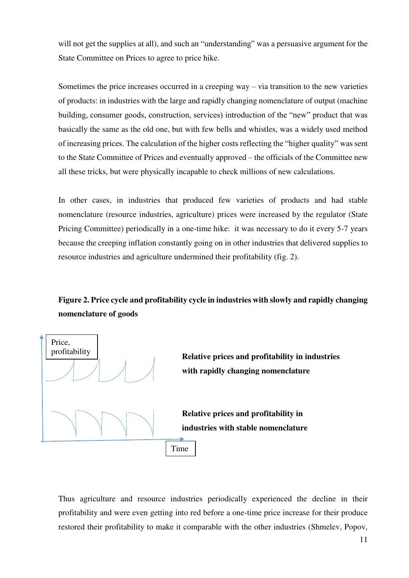will not get the supplies at all), and such an "understanding" was a persuasive argument for the State Committee on Prices to agree to price hike.

Sometimes the price increases occurred in a creeping way – via transition to the new varieties of products: in industries with the large and rapidly changing nomenclature of output (machine building, consumer goods, construction, services) introduction of the "new" product that was basically the same as the old one, but with few bells and whistles, was a widely used method of increasing prices. The calculation of the higher costs reflecting the "higher quality" was sent to the State Committee of Prices and eventually approved – the officials of the Committee new all these tricks, but were physically incapable to check millions of new calculations.

In other cases, in industries that produced few varieties of products and had stable nomenclature (resource industries, agriculture) prices were increased by the regulator (State Pricing Committee) periodically in a one-time hike: it was necessary to do it every 5-7 years because the creeping inflation constantly going on in other industries that delivered supplies to resource industries and agriculture undermined their profitability (fig. 2).

## **Figure 2. Price cycle and profitability cycle in industries with slowly and rapidly changing nomenclature of goods**



Thus agriculture and resource industries periodically experienced the decline in their profitability and were even getting into red before a one-time price increase for their produce restored their profitability to make it comparable with the other industries (Shmelev, Popov,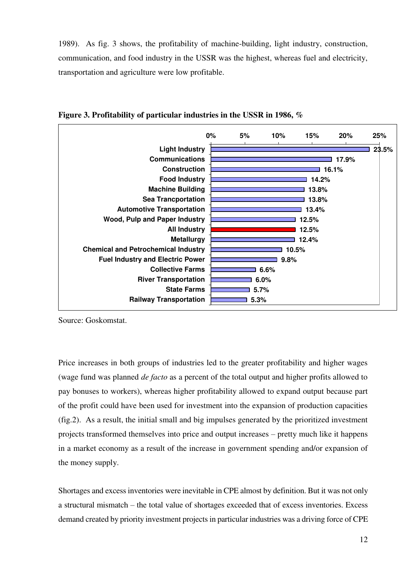1989). As fig. 3 shows, the profitability of machine-building, light industry, construction, communication, and food industry in the USSR was the highest, whereas fuel and electricity, transportation and agriculture were low profitable.



**Figure 3. Profitability of particular industries in the USSR in 1986, %** 

Source: Goskomstat.

Price increases in both groups of industries led to the greater profitability and higher wages (wage fund was planned *de facto* as a percent of the total output and higher profits allowed to pay bonuses to workers), whereas higher profitability allowed to expand output because part of the profit could have been used for investment into the expansion of production capacities (fig.2). As a result, the initial small and big impulses generated by the prioritized investment projects transformed themselves into price and output increases – pretty much like it happens in a market economy as a result of the increase in government spending and/or expansion of the money supply.

Shortages and excess inventories were inevitable in CPE almost by definition. But it was not only a structural mismatch – the total value of shortages exceeded that of excess inventories. Excess demand created by priority investment projects in particular industries was a driving force of CPE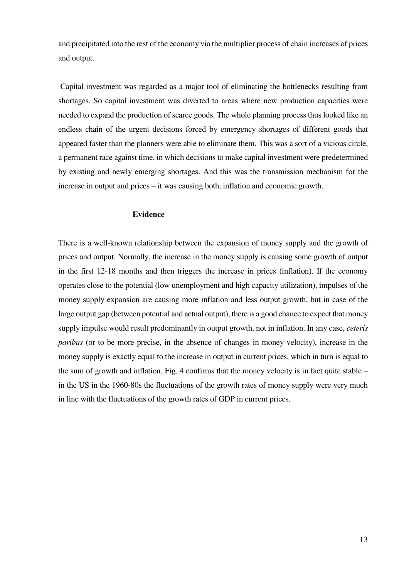and precipitated into the rest of the economy via the multiplier process of chain increases of prices and output.

 Capital investment was regarded as a major tool of eliminating the bottlenecks resulting from shortages. So capital investment was diverted to areas where new production capacities were needed to expand the production of scarce goods. The whole planning process thus looked like an endless chain of the urgent decisions forced by emergency shortages of different goods that appeared faster than the planners were able to eliminate them. This was a sort of a vicious circle, a permanent race against time, in which decisions to make capital investment were predetermined by existing and newly emerging shortages. And this was the transmission mechanism for the increase in output and prices – it was causing both, inflation and economic growth.

### **Evidence**

There is a well-known relationship between the expansion of money supply and the growth of prices and output. Normally, the increase in the money supply is causing some growth of output in the first 12-18 months and then triggers the increase in prices (inflation). If the economy operates close to the potential (low unemployment and high capacity utilization), impulses of the money supply expansion are causing more inflation and less output growth, but in case of the large output gap (between potential and actual output), there is a good chance to expect that money supply impulse would result predominantly in output growth, not in inflation. In any case, *ceteris paribus* (or to be more precise, in the absence of changes in money velocity), increase in the money supply is exactly equal to the increase in output in current prices, which in turn is equal to the sum of growth and inflation. Fig. 4 confirms that the money velocity is in fact quite stable – in the US in the 1960-80s the fluctuations of the growth rates of money supply were very much in line with the fluctuations of the growth rates of GDP in current prices.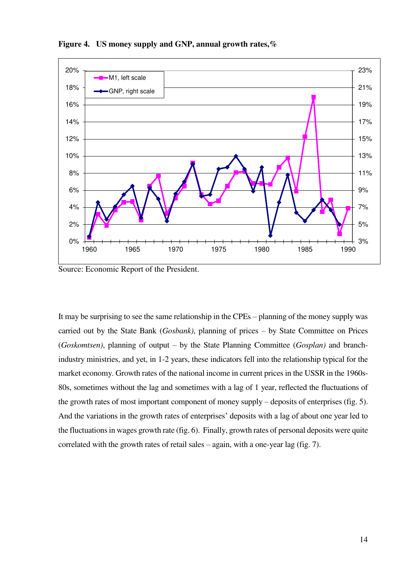

**Figure 4. US money supply and GNP, annual growth rates,%** 

Source: Economic Report of the President.

It may be surprising to see the same relationship in the CPEs – planning of the money supply was carried out by the State Bank (*Gosbank)*, planning of prices – by State Committee on Prices (*Goskomtsen)*, planning of output – by the State Planning Committee (*Gosplan)* and branchindustry ministries, and yet, in 1-2 years, these indicators fell into the relationship typical for the market economy. Growth rates of the national income in current prices in the USSR in the 1960s-80s, sometimes without the lag and sometimes with a lag of 1 year, reflected the fluctuations of the growth rates of most important component of money supply – deposits of enterprises (fig. 5). And the variations in the growth rates of enterprises' deposits with a lag of about one year led to the fluctuations in wages growth rate (fig. 6). Finally, growth rates of personal deposits were quite correlated with the growth rates of retail sales – again, with a one-year lag (fig. 7).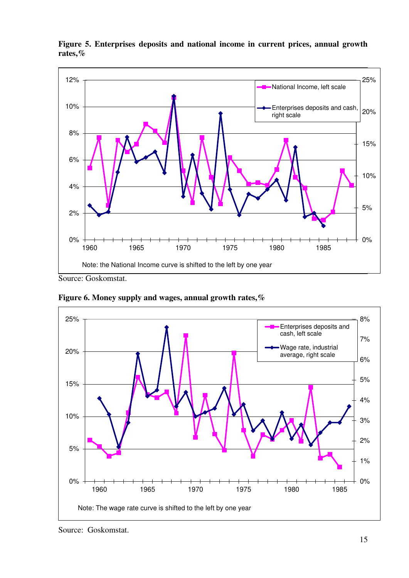

**Figure 5. Enterprises deposits and national income in current prices, annual growth rates,%** 

Source: Goskomstat.



**Figure 6. Money supply and wages, annual growth rates,%** 

Source: Goskomstat.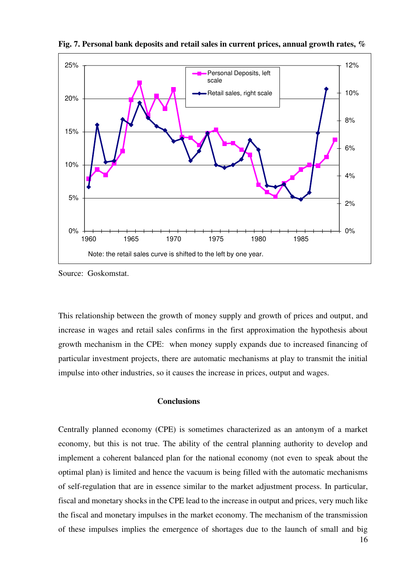

**Fig. 7. Personal bank deposits and retail sales in current prices, annual growth rates, %** 

Source: Goskomstat.

This relationship between the growth of money supply and growth of prices and output, and increase in wages and retail sales confirms in the first approximation the hypothesis about growth mechanism in the CPE: when money supply expands due to increased financing of particular investment projects, there are automatic mechanisms at play to transmit the initial impulse into other industries, so it causes the increase in prices, output and wages.

### **Conclusions**

Centrally planned economy (CPE) is sometimes characterized as an antonym of a market economy, but this is not true. The ability of the central planning authority to develop and implement a coherent balanced plan for the national economy (not even to speak about the optimal plan) is limited and hence the vacuum is being filled with the automatic mechanisms of self-regulation that are in essence similar to the market adjustment process. In particular, fiscal and monetary shocks in the CPE lead to the increase in output and prices, very much like the fiscal and monetary impulses in the market economy. The mechanism of the transmission of these impulses implies the emergence of shortages due to the launch of small and big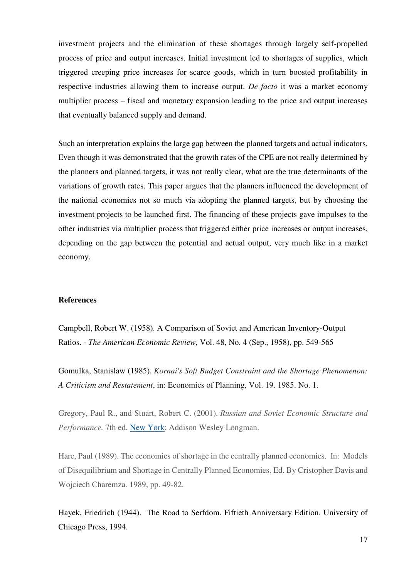investment projects and the elimination of these shortages through largely self-propelled process of price and output increases. Initial investment led to shortages of supplies, which triggered creeping price increases for scarce goods, which in turn boosted profitability in respective industries allowing them to increase output. *De facto* it was a market economy multiplier process – fiscal and monetary expansion leading to the price and output increases that eventually balanced supply and demand.

Such an interpretation explains the large gap between the planned targets and actual indicators. Even though it was demonstrated that the growth rates of the CPE are not really determined by the planners and planned targets, it was not really clear, what are the true determinants of the variations of growth rates. This paper argues that the planners influenced the development of the national economies not so much via adopting the planned targets, but by choosing the investment projects to be launched first. The financing of these projects gave impulses to the other industries via multiplier process that triggered either price increases or output increases, depending on the gap between the potential and actual output, very much like in a market economy.

#### **References**

Campbell, Robert W. (1958). A Comparison of Soviet and American Inventory-Output Ratios. - *The American Economic Review*, Vol. 48, No. 4 (Sep., 1958), pp. 549-565

Gomulka, Stanislaw (1985). *Kornai's Soft Budget Constraint and the Shortage Phenomenon: A Criticism and Restatement*, in: Economics of Planning, Vol. 19. 1985. No. 1.

Gregory, Paul R., and Stuart, Robert C. (2001). *Russian and Soviet Economic Structure and Performance.* 7th ed. [New York:](https://www.encyclopedia.com/places/united-states-and-canada/us-political-geography/new-york) Addison Wesley Longman.

Hare, Paul (1989). The economics of shortage in the centrally planned economies. In: Models of Disequilibrium and Shortage in Centrally Planned Economies. Ed. By Cristopher Davis and Wojciech Charemza. 1989, pp. 49-82.

Hayek, Friedrich (1944). The Road to Serfdom. Fiftieth Anniversary Edition. University of Chicago Press, 1994.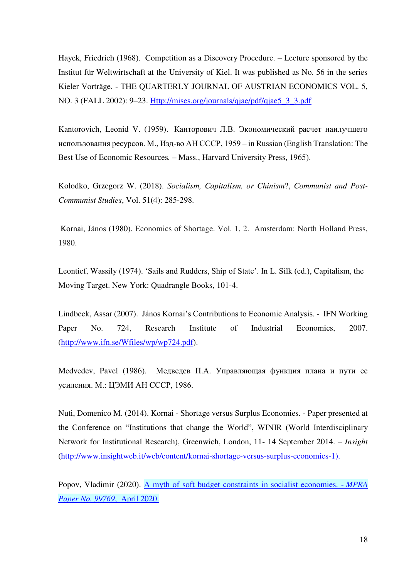Hayek, Friedrich (1968). Competition as a Discovery Procedure. – Lecture sponsored by the Institut für Weltwirtschaft at the University of Kiel. It was published as No. 56 in the series Kieler Vorträge. - THE QUARTERLY JOURNAL OF AUSTRIAN ECONOMICS VOL. 5, NO. 3 (FALL 2002): 9–23. [Http://mises.org/journals/qjae/pdf/qjae5\\_3\\_3.pdf](http://mises.org/journals/qjae/pdf/qjae5_3_3.pdf)

Kantorovich, Leonid V. (1959). Канторович Л.В. Экономический расчет наилучшего использования ресурсов. М., Изд-во АН СССР, 1959 – in Russian (English Translation: The Best Use of Economic Resources*.* – Mass., Harvard University Press, 1965).

Kolodko, Grzegorz W. (2018). *Socialism, Capitalism, or Chinism*?, *Communist and Post-Communist Studies*, Vol. 51(4): 285-298.

 Kornai, János (1980). Economics of Shortage. Vol. 1, 2. Amsterdam: North Holland Press, 1980.

Leontief, Wassily (1974). 'Sails and Rudders, Ship of State'. In L. Silk (ed.), Capitalism, the Moving Target. New York: Quadrangle Books, 101-4.

Lindbeck, Assar (2007). János Kornai's Contributions to Economic Analysis. - IFN Working Paper No. 724, Research Institute of Industrial Economics, 2007. [\(http://www.ifn.se/Wfiles/wp/wp724.pdf\)](http://www.ifn.se/Wfiles/wp/wp724.pdf).

Medvedev, Pavel (1986). Медведев П.А. Управляющая функция плана и пути ее усиления. М.: ЦЭМИ АН СССР, 1986.

Nuti, Domenico M. (2014). Kornai - Shortage versus Surplus Economies. - Paper presented at the Conference on "Institutions that change the World", WINIR (World Interdisciplinary Network for Institutional Research), Greenwich, London, 11- 14 September 2014. – *Insight* [\(http://www.insightweb.it/web/content/kornai-shortage-versus-surplus-economies-1\)](http://www.insightweb.it/web/content/kornai-shortage-versus-surplus-economies-1).

Popov, Vladimir (2020). [A myth of soft budget constraints in socialist economies. -](http://pages.nes.ru/vpopov/documents/SOFT%20BUDGET%20CONSTRAINTS%20in%20socialist%20economies=MPRA_paper_99769.pdf) *MPRA [Paper No. 99769](http://pages.nes.ru/vpopov/documents/SOFT%20BUDGET%20CONSTRAINTS%20in%20socialist%20economies=MPRA_paper_99769.pdf)*, April 2020.